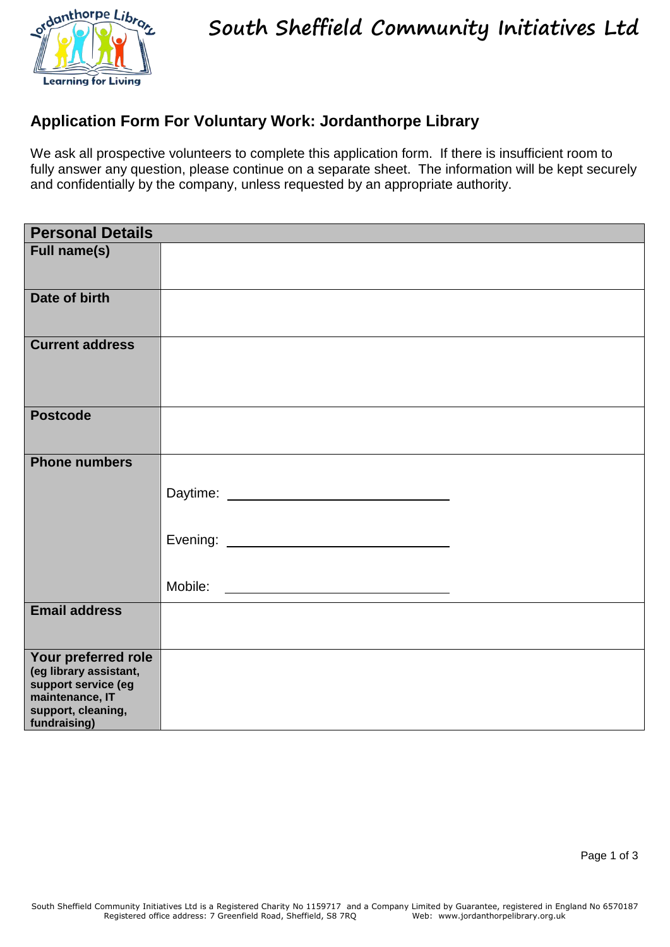

**South Sheffield Community Initiatives Ltd**

## **Application Form For Voluntary Work: Jordanthorpe Library**

We ask all prospective volunteers to complete this application form. If there is insufficient room to fully answer any question, please continue on a separate sheet. The information will be kept securely and confidentially by the company, unless requested by an appropriate authority.

| <b>Personal Details</b>                                                                                                       |  |
|-------------------------------------------------------------------------------------------------------------------------------|--|
| <b>Full name(s)</b>                                                                                                           |  |
| Date of birth                                                                                                                 |  |
| <b>Current address</b>                                                                                                        |  |
| <b>Postcode</b>                                                                                                               |  |
| <b>Phone numbers</b>                                                                                                          |  |
|                                                                                                                               |  |
|                                                                                                                               |  |
|                                                                                                                               |  |
| <b>Email address</b>                                                                                                          |  |
| Your preferred role<br>(eg library assistant,<br>support service (eg<br>maintenance, IT<br>support, cleaning,<br>fundraising) |  |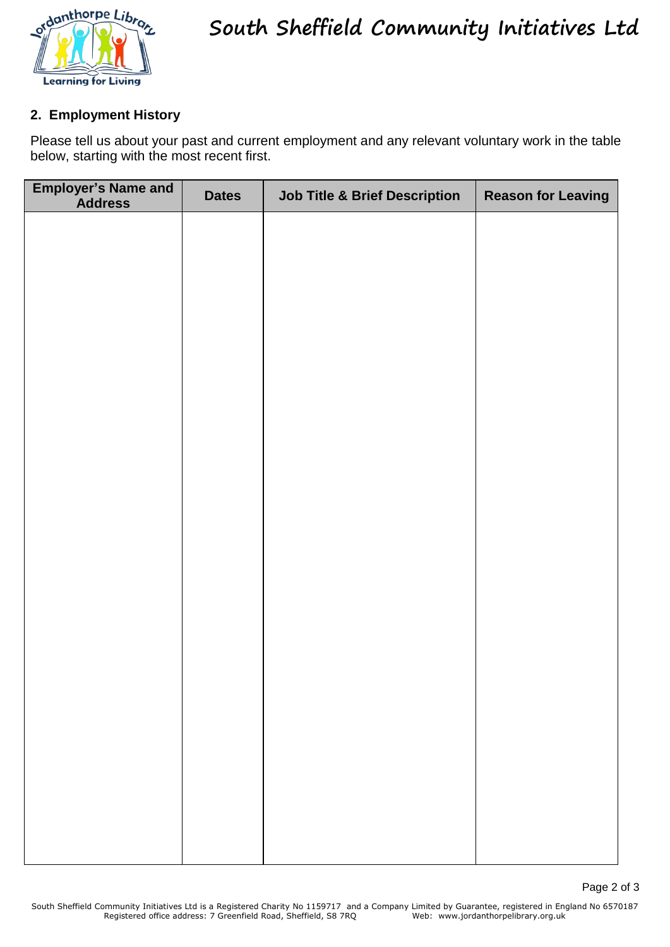

## **2. Employment History**

Please tell us about your past and current employment and any relevant voluntary work in the table below, starting with the most recent first.

| <b>Employer's Name and Address</b> | <b>Dates</b> | <b>Job Title &amp; Brief Description</b> | <b>Reason for Leaving</b> |
|------------------------------------|--------------|------------------------------------------|---------------------------|
|                                    |              |                                          |                           |
|                                    |              |                                          |                           |
|                                    |              |                                          |                           |
|                                    |              |                                          |                           |
|                                    |              |                                          |                           |
|                                    |              |                                          |                           |
|                                    |              |                                          |                           |
|                                    |              |                                          |                           |
|                                    |              |                                          |                           |
|                                    |              |                                          |                           |
|                                    |              |                                          |                           |
|                                    |              |                                          |                           |
|                                    |              |                                          |                           |
|                                    |              |                                          |                           |
|                                    |              |                                          |                           |
|                                    |              |                                          |                           |
|                                    |              |                                          |                           |
|                                    |              |                                          |                           |
|                                    |              |                                          |                           |
|                                    |              |                                          |                           |
|                                    |              |                                          |                           |